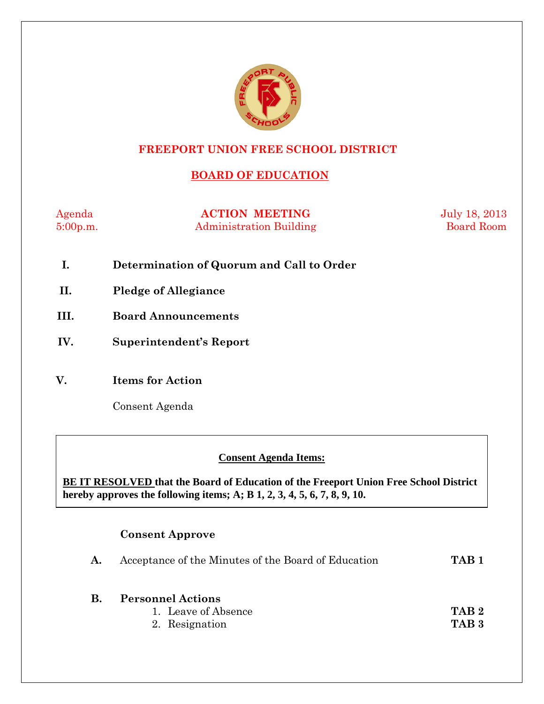

#### **FREEPORT UNION FREE SCHOOL DISTRICT**

## **BOARD OF EDUCATION**

Agenda **ACTION MEETING** July 18, 2013 5:00p.m. Administration Building Board Room

- **I. Determination of Quorum and Call to Order**
- **II. Pledge of Allegiance**
- **III. Board Announcements**
- **IV. Superintendent's Report**
- **V. Items for Action**

Consent Agenda

 **AA. Consent - Approve** 

#### **Consent Agenda Items:**

 *Acceptance of the Minutes*  $\mathbf{A}$ **BE IT RESOLVED that the Board of Education of the Freeport Union Free School District hereby approves the following items; A; B 1, 2, 3, 4, 5, 6, 7, 8, 9, 10.** 

#### **Consent Approve**

| $\mathbf{A}$ . | Acceptance of the Minutes of the Board of Education               | TAB <sub>1</sub>                     |
|----------------|-------------------------------------------------------------------|--------------------------------------|
| <b>B.</b>      | <b>Personnel Actions</b><br>1. Leave of Absence<br>2. Resignation | TAR <sub>2</sub><br>TAB <sub>3</sub> |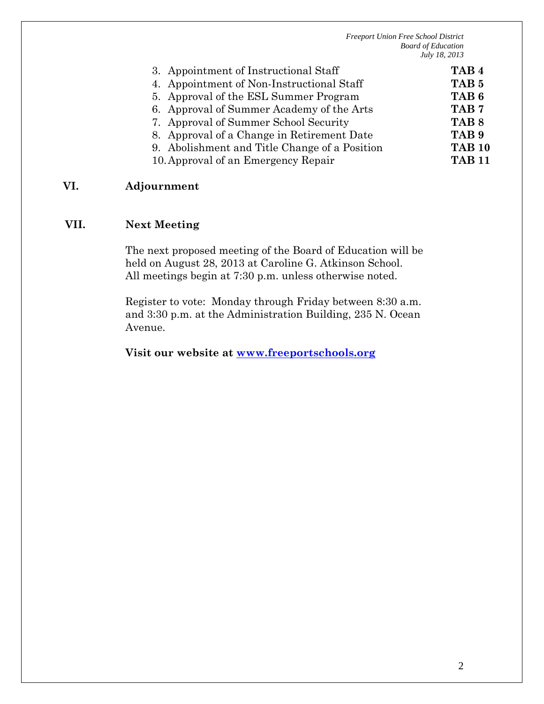| 3. Appointment of Instructional Staff         | TAB <sub>4</sub> |
|-----------------------------------------------|------------------|
| 4. Appointment of Non-Instructional Staff     | TAB <sub>5</sub> |
| 5. Approval of the ESL Summer Program         | TAB <sub>6</sub> |
| 6. Approval of Summer Academy of the Arts     | TAB <sub>7</sub> |
| 7. Approval of Summer School Security         | TAB <sub>8</sub> |
| 8. Approval of a Change in Retirement Date    | TAB <sub>9</sub> |
| 9. Abolishment and Title Change of a Position | <b>TAB 10</b>    |
| 10. Approval of an Emergency Repair           | <b>TAB 11</b>    |
|                                               |                  |

#### **VI. Adjournment**

#### **VII. Next Meeting**

The next proposed meeting of the Board of Education will be held on August 28, 2013 at Caroline G. Atkinson School. All meetings begin at 7:30 p.m. unless otherwise noted.

Register to vote: Monday through Friday between 8:30 a.m. and 3:30 p.m. at the Administration Building, 235 N. Ocean Avenue.

**Visit our website at www.freeportschools.org**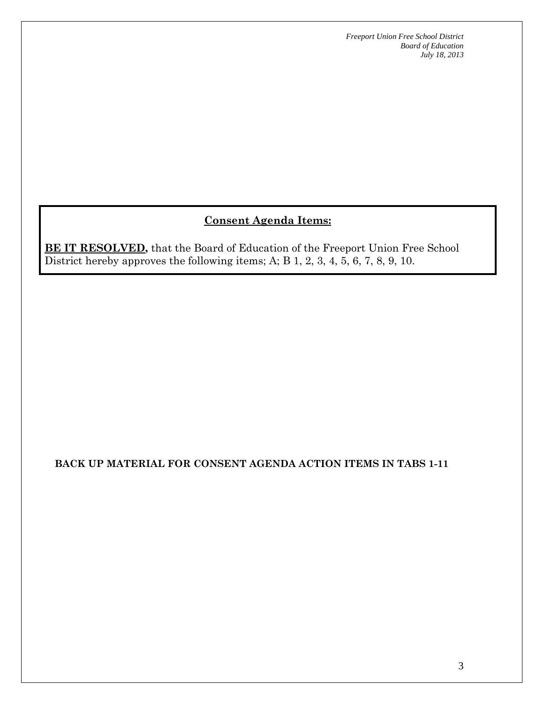## **Consent Agenda Items:**

**BE IT RESOLVED,** that the Board of Education of the Freeport Union Free School District hereby approves the following items; A; B 1, 2, 3, 4, 5, 6, 7, 8, 9, 10.

**BACK UP MATERIAL FOR CONSENT AGENDA ACTION ITEMS IN TABS 1-11**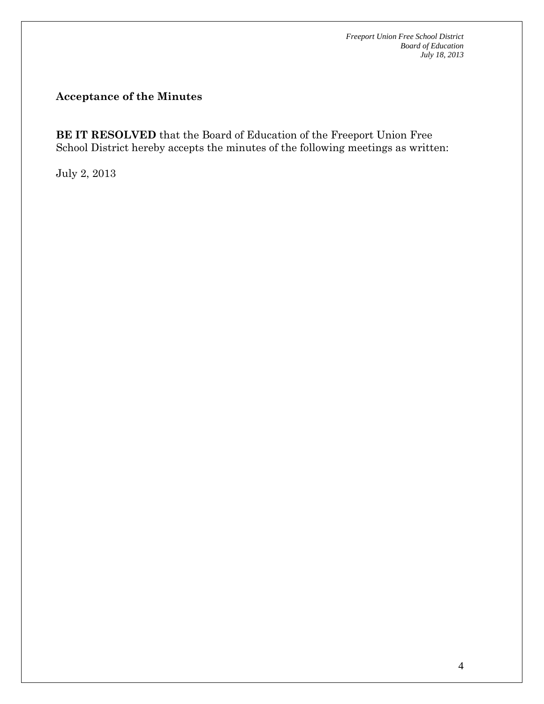#### **Acceptance of the Minutes**

**BE IT RESOLVED** that the Board of Education of the Freeport Union Free School District hereby accepts the minutes of the following meetings as written:

July 2, 2013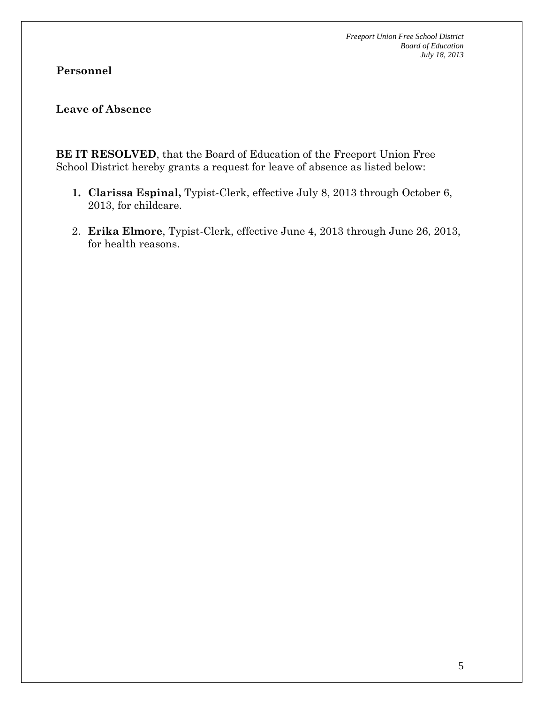# **Personnel**

## **Leave of Absence**

**BE IT RESOLVED**, that the Board of Education of the Freeport Union Free School District hereby grants a request for leave of absence as listed below:

- **1. Clarissa Espinal,** Typist-Clerk, effective July 8, 2013 through October 6, 2013, for childcare.
- 2. **Erika Elmore**, Typist-Clerk, effective June 4, 2013 through June 26, 2013, for health reasons.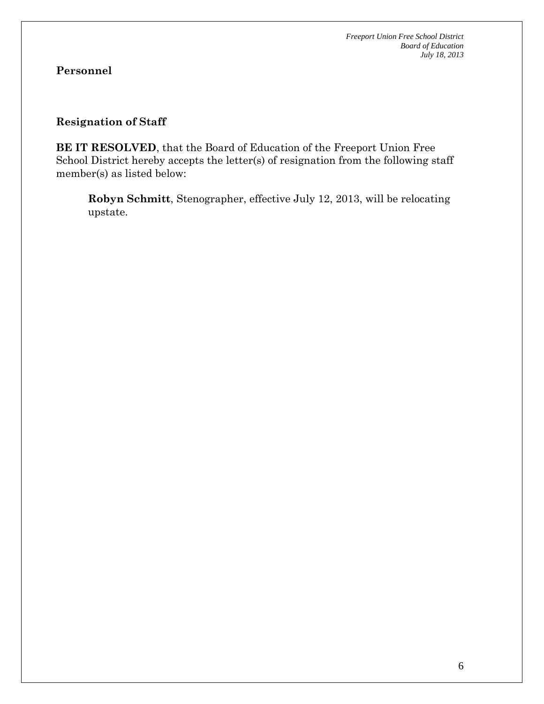# **Personnel**

#### **Resignation of Staff**

**BE IT RESOLVED**, that the Board of Education of the Freeport Union Free School District hereby accepts the letter(s) of resignation from the following staff member(s) as listed below:

**Robyn Schmitt**, Stenographer, effective July 12, 2013, will be relocating upstate.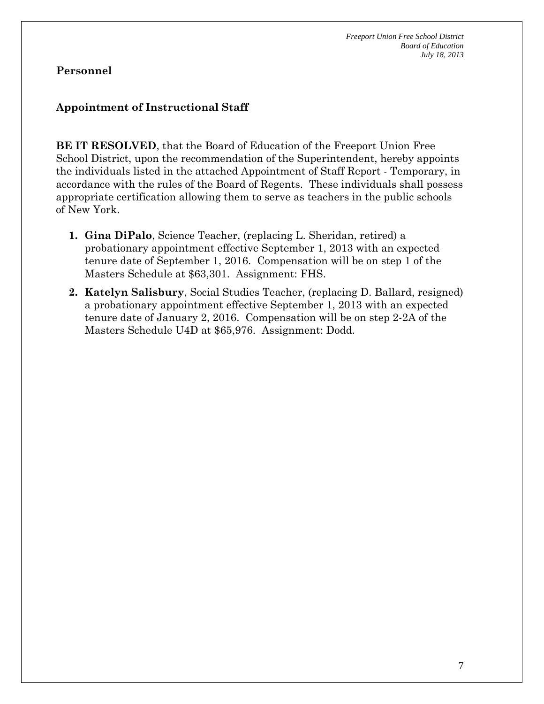### **Appointment of Instructional Staff**

**BE IT RESOLVED**, that the Board of Education of the Freeport Union Free School District, upon the recommendation of the Superintendent, hereby appoints the individuals listed in the attached Appointment of Staff Report - Temporary, in accordance with the rules of the Board of Regents. These individuals shall possess appropriate certification allowing them to serve as teachers in the public schools of New York.

- **1. Gina DiPalo**, Science Teacher, (replacing L. Sheridan, retired) a probationary appointment effective September 1, 2013 with an expected tenure date of September 1, 2016. Compensation will be on step 1 of the Masters Schedule at \$63,301. Assignment: FHS.
- **2. Katelyn Salisbury**, Social Studies Teacher, (replacing D. Ballard, resigned) a probationary appointment effective September 1, 2013 with an expected tenure date of January 2, 2016. Compensation will be on step 2-2A of the Masters Schedule U4D at \$65,976. Assignment: Dodd.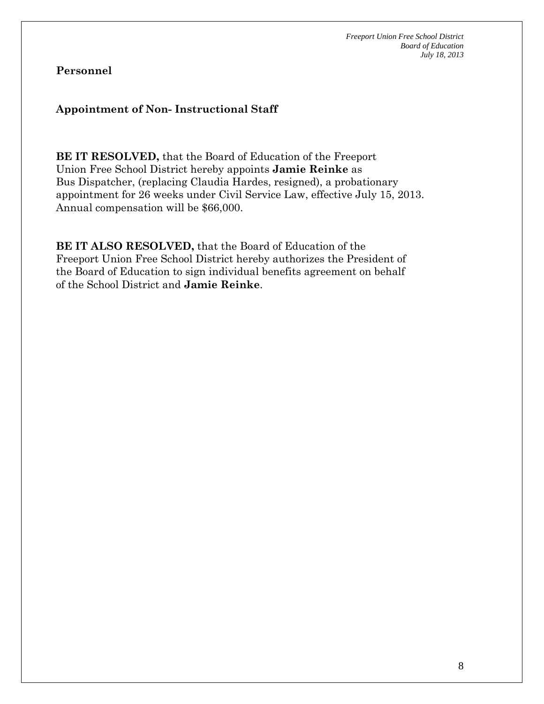## **Appointment of Non- Instructional Staff**

**BE IT RESOLVED,** that the Board of Education of the Freeport Union Free School District hereby appoints **Jamie Reinke** as Bus Dispatcher, (replacing Claudia Hardes, resigned), a probationary appointment for 26 weeks under Civil Service Law, effective July 15, 2013. Annual compensation will be \$66,000.

**BE IT ALSO RESOLVED,** that the Board of Education of the Freeport Union Free School District hereby authorizes the President of the Board of Education to sign individual benefits agreement on behalf of the School District and **Jamie Reinke**.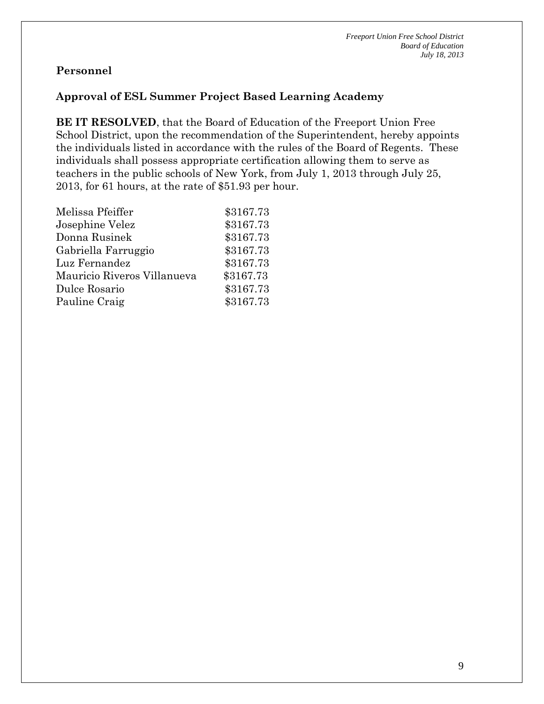### **Approval of ESL Summer Project Based Learning Academy**

**BE IT RESOLVED**, that the Board of Education of the Freeport Union Free School District, upon the recommendation of the Superintendent, hereby appoints the individuals listed in accordance with the rules of the Board of Regents. These individuals shall possess appropriate certification allowing them to serve as teachers in the public schools of New York, from July 1, 2013 through July 25, 2013, for 61 hours, at the rate of \$51.93 per hour.

| \$3167.73 |
|-----------|
| \$3167.73 |
| \$3167.73 |
| \$3167.73 |
| \$3167.73 |
| \$3167.73 |
| \$3167.73 |
| \$3167.73 |
|           |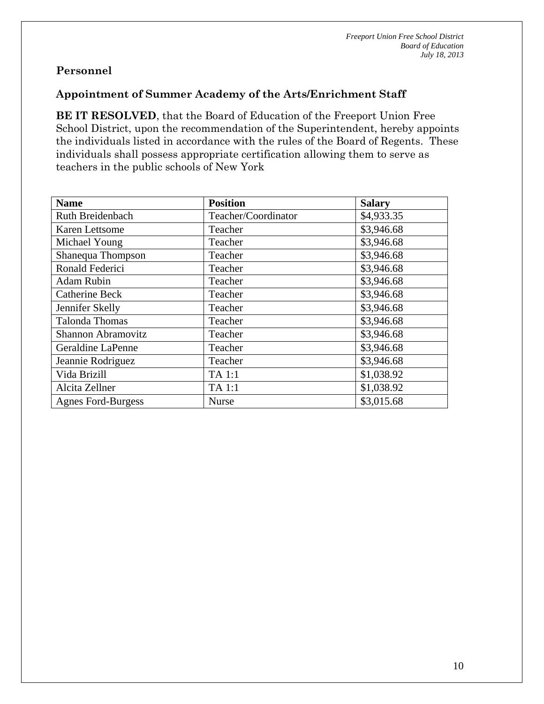#### **Appointment of Summer Academy of the Arts/Enrichment Staff**

**BE IT RESOLVED**, that the Board of Education of the Freeport Union Free School District, upon the recommendation of the Superintendent, hereby appoints the individuals listed in accordance with the rules of the Board of Regents. These individuals shall possess appropriate certification allowing them to serve as teachers in the public schools of New York

| <b>Name</b>               | <b>Position</b>     | <b>Salary</b> |
|---------------------------|---------------------|---------------|
| Ruth Breidenbach          | Teacher/Coordinator | \$4,933.35    |
| Karen Lettsome            | Teacher             | \$3,946.68    |
| Michael Young             | Teacher             | \$3,946.68    |
| Shanequa Thompson         | Teacher             | \$3,946.68    |
| Ronald Federici           | Teacher             | \$3,946.68    |
| <b>Adam Rubin</b>         | Teacher             | \$3,946.68    |
| <b>Catherine Beck</b>     | Teacher             | \$3,946.68    |
| Jennifer Skelly           | Teacher             | \$3,946.68    |
| <b>Talonda Thomas</b>     | Teacher             | \$3,946.68    |
| Shannon Abramovitz        | Teacher             | \$3,946.68    |
| Geraldine LaPenne         | Teacher             | \$3,946.68    |
| Jeannie Rodriguez         | Teacher             | \$3,946.68    |
| Vida Brizill              | TA 1:1              | \$1,038.92    |
| Alcita Zellner            | TA 1:1              | \$1,038.92    |
| <b>Agnes Ford-Burgess</b> | <b>Nurse</b>        | \$3,015.68    |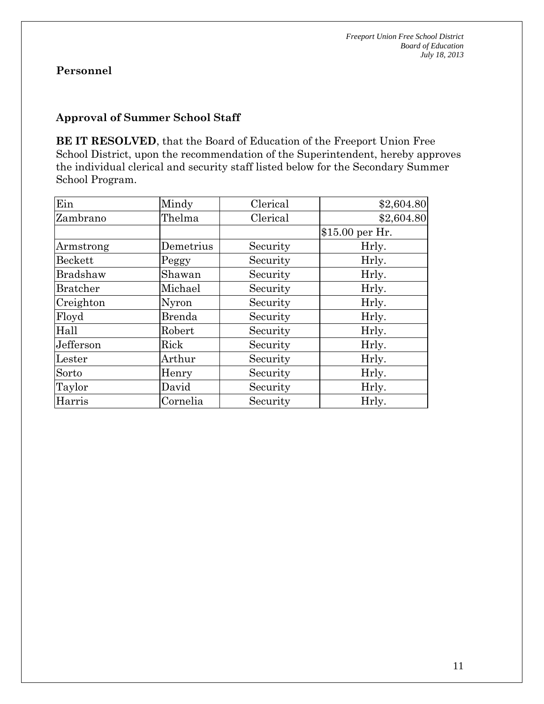#### **Approval of Summer School Staff**

**BE IT RESOLVED**, that the Board of Education of the Freeport Union Free School District, upon the recommendation of the Superintendent, hereby approves the individual clerical and security staff listed below for the Secondary Summer School Program.

| Ein             | Mindy         | Clerical | \$2,604.80      |
|-----------------|---------------|----------|-----------------|
| Zambrano        | Thelma        | Clerical | \$2,604.80      |
|                 |               |          | \$15.00 per Hr. |
| Armstrong       | Demetrius     | Security | Hrly.           |
| <b>Beckett</b>  | Peggy         | Security | Hrly.           |
| <b>Bradshaw</b> | Shawan        | Security | Hrly.           |
| <b>Bratcher</b> | Michael       | Security | Hrly.           |
| Creighton       | Nyron         | Security | Hrly.           |
| Floyd           | <b>Brenda</b> | Security | Hrly.           |
| Hall            | Robert        | Security | Hrly.           |
| Jefferson       | Rick          | Security | Hrly.           |
| Lester          | Arthur        | Security | Hrly.           |
| Sorto           | Henry         | Security | Hrly.           |
| Taylor          | David         | Security | Hrly.           |
| Harris          | Cornelia      | Security | Hrly.           |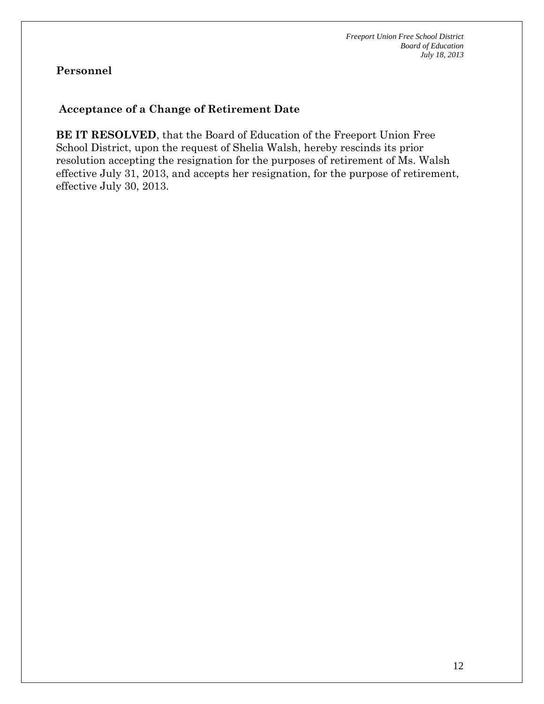#### **Acceptance of a Change of Retirement Date**

**BE IT RESOLVED**, that the Board of Education of the Freeport Union Free School District, upon the request of Shelia Walsh, hereby rescinds its prior resolution accepting the resignation for the purposes of retirement of Ms. Walsh effective July 31, 2013, and accepts her resignation, for the purpose of retirement, effective July 30, 2013.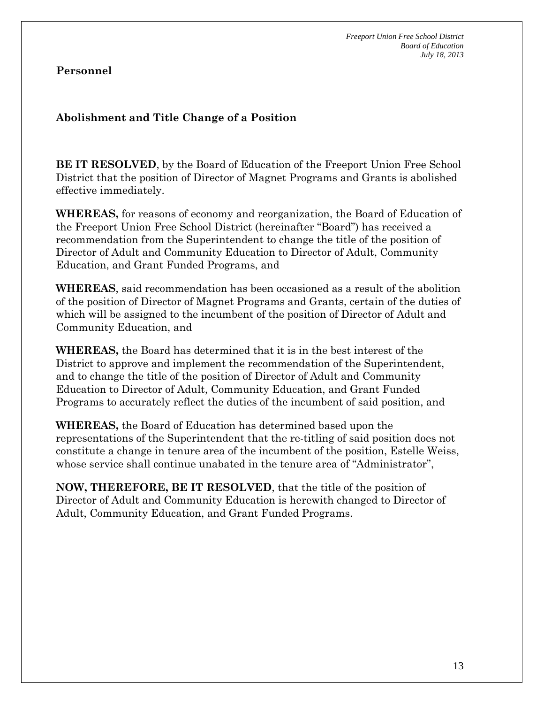## **Abolishment and Title Change of a Position**

**BE IT RESOLVED**, by the Board of Education of the Freeport Union Free School District that the position of Director of Magnet Programs and Grants is abolished effective immediately.

**WHEREAS,** for reasons of economy and reorganization, the Board of Education of the Freeport Union Free School District (hereinafter "Board") has received a recommendation from the Superintendent to change the title of the position of Director of Adult and Community Education to Director of Adult, Community Education, and Grant Funded Programs, and

**WHEREAS**, said recommendation has been occasioned as a result of the abolition of the position of Director of Magnet Programs and Grants, certain of the duties of which will be assigned to the incumbent of the position of Director of Adult and Community Education, and

**WHEREAS,** the Board has determined that it is in the best interest of the District to approve and implement the recommendation of the Superintendent, and to change the title of the position of Director of Adult and Community Education to Director of Adult, Community Education, and Grant Funded Programs to accurately reflect the duties of the incumbent of said position, and

**WHEREAS,** the Board of Education has determined based upon the representations of the Superintendent that the re-titling of said position does not constitute a change in tenure area of the incumbent of the position, Estelle Weiss, whose service shall continue unabated in the tenure area of "Administrator",

**NOW, THEREFORE, BE IT RESOLVED**, that the title of the position of Director of Adult and Community Education is herewith changed to Director of Adult, Community Education, and Grant Funded Programs.